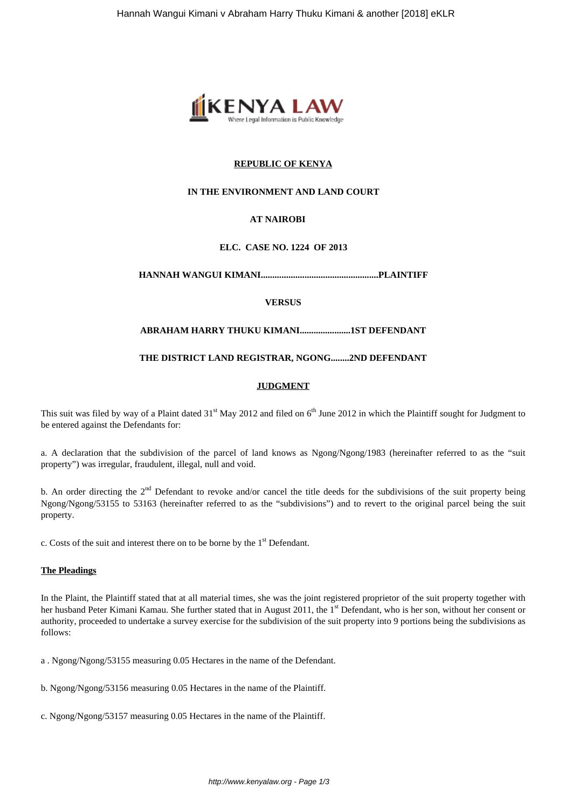

## **REPUBLIC OF KENYA**

## **IN THE ENVIRONMENT AND LAND COURT**

# **AT NAIROBI**

## **ELC. CASE NO. 1224 OF 2013**

**HANNAH WANGUI KIMANI...................................................PLAINTIFF**

**VERSUS**

## **ABRAHAM HARRY THUKU KIMANI......................1ST DEFENDANT**

## **THE DISTRICT LAND REGISTRAR, NGONG........2ND DEFENDANT**

## **JUDGMENT**

This suit was filed by way of a Plaint dated 31<sup>st</sup> May 2012 and filed on 6<sup>th</sup> June 2012 in which the Plaintiff sought for Judgment to be entered against the Defendants for:

a. A declaration that the subdivision of the parcel of land knows as Ngong/Ngong/1983 (hereinafter referred to as the "suit property") was irregular, fraudulent, illegal, null and void.

b. An order directing the  $2<sup>nd</sup>$  Defendant to revoke and/or cancel the title deeds for the subdivisions of the suit property being Ngong/Ngong/53155 to 53163 (hereinafter referred to as the "subdivisions") and to revert to the original parcel being the suit property.

c. Costs of the suit and interest there on to be borne by the  $1<sup>st</sup>$  Defendant.

#### **The Pleadings**

In the Plaint, the Plaintiff stated that at all material times, she was the joint registered proprietor of the suit property together with her husband Peter Kimani Kamau. She further stated that in August 2011, the 1<sup>st</sup> Defendant, who is her son, without her consent or authority, proceeded to undertake a survey exercise for the subdivision of the suit property into 9 portions being the subdivisions as follows:

a . Ngong/Ngong/53155 measuring 0.05 Hectares in the name of the Defendant.

b. Ngong/Ngong/53156 measuring 0.05 Hectares in the name of the Plaintiff.

c. Ngong/Ngong/53157 measuring 0.05 Hectares in the name of the Plaintiff.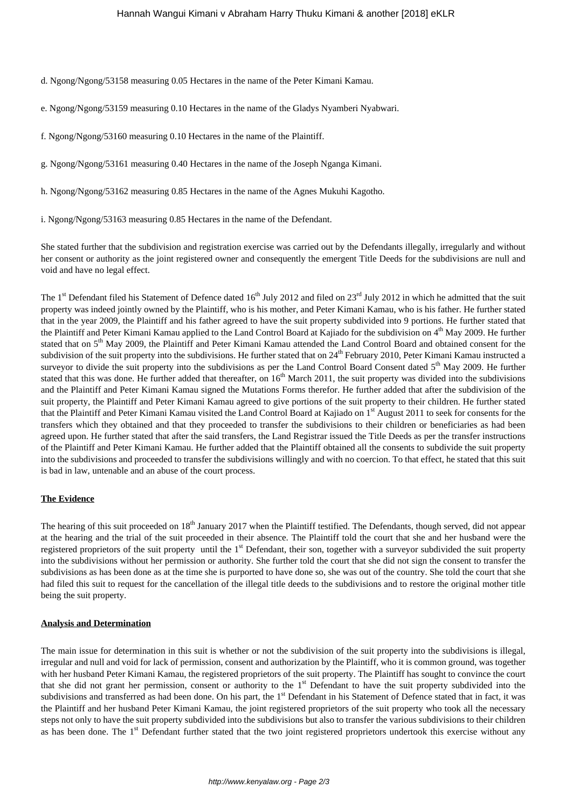d. Ngong/Ngong/53158 measuring 0.05 Hectares in the name of the Peter Kimani Kamau.

- e. Ngong/Ngong/53159 measuring 0.10 Hectares in the name of the Gladys Nyamberi Nyabwari.
- f. Ngong/Ngong/53160 measuring 0.10 Hectares in the name of the Plaintiff.
- g. Ngong/Ngong/53161 measuring 0.40 Hectares in the name of the Joseph Nganga Kimani.
- h. Ngong/Ngong/53162 measuring 0.85 Hectares in the name of the Agnes Mukuhi Kagotho.
- i. Ngong/Ngong/53163 measuring 0.85 Hectares in the name of the Defendant.

She stated further that the subdivision and registration exercise was carried out by the Defendants illegally, irregularly and without her consent or authority as the joint registered owner and consequently the emergent Title Deeds for the subdivisions are null and void and have no legal effect.

The  $1<sup>st</sup>$  Defendant filed his Statement of Defence dated  $16<sup>th</sup>$  July 2012 and filed on  $23<sup>rd</sup>$  July 2012 in which he admitted that the suit property was indeed jointly owned by the Plaintiff, who is his mother, and Peter Kimani Kamau, who is his father. He further stated that in the year 2009, the Plaintiff and his father agreed to have the suit property subdivided into 9 portions. He further stated that the Plaintiff and Peter Kimani Kamau applied to the Land Control Board at Kajiado for the subdivision on 4<sup>th</sup> May 2009. He further stated that on 5<sup>th</sup> May 2009, the Plaintiff and Peter Kimani Kamau attended the Land Control Board and obtained consent for the subdivision of the suit property into the subdivisions. He further stated that on 24<sup>th</sup> February 2010, Peter Kimani Kamau instructed a surveyor to divide the suit property into the subdivisions as per the Land Control Board Consent dated  $5<sup>th</sup>$  May 2009. He further stated that this was done. He further added that thereafter, on 16<sup>th</sup> March 2011, the suit property was divided into the subdivisions and the Plaintiff and Peter Kimani Kamau signed the Mutations Forms therefor. He further added that after the subdivision of the suit property, the Plaintiff and Peter Kimani Kamau agreed to give portions of the suit property to their children. He further stated that the Plaintiff and Peter Kimani Kamau visited the Land Control Board at Kajiado on 1<sup>st</sup> August 2011 to seek for consents for the transfers which they obtained and that they proceeded to transfer the subdivisions to their children or beneficiaries as had been agreed upon. He further stated that after the said transfers, the Land Registrar issued the Title Deeds as per the transfer instructions of the Plaintiff and Peter Kimani Kamau. He further added that the Plaintiff obtained all the consents to subdivide the suit property into the subdivisions and proceeded to transfer the subdivisions willingly and with no coercion. To that effect, he stated that this suit is bad in law, untenable and an abuse of the court process.

## **The Evidence**

The hearing of this suit proceeded on 18<sup>th</sup> January 2017 when the Plaintiff testified. The Defendants, though served, did not appear at the hearing and the trial of the suit proceeded in their absence. The Plaintiff told the court that she and her husband were the registered proprietors of the suit property until the 1<sup>st</sup> Defendant, their son, together with a surveyor subdivided the suit property into the subdivisions without her permission or authority. She further told the court that she did not sign the consent to transfer the subdivisions as has been done as at the time she is purported to have done so, she was out of the country. She told the court that she had filed this suit to request for the cancellation of the illegal title deeds to the subdivisions and to restore the original mother title being the suit property.

#### **Analysis and Determination**

The main issue for determination in this suit is whether or not the subdivision of the suit property into the subdivisions is illegal, irregular and null and void for lack of permission, consent and authorization by the Plaintiff, who it is common ground, was together with her husband Peter Kimani Kamau, the registered proprietors of the suit property. The Plaintiff has sought to convince the court that she did not grant her permission, consent or authority to the 1<sup>st</sup> Defendant to have the suit property subdivided into the subdivisions and transferred as had been done. On his part, the 1<sup>st</sup> Defendant in his Statement of Defence stated that in fact, it was the Plaintiff and her husband Peter Kimani Kamau, the joint registered proprietors of the suit property who took all the necessary steps not only to have the suit property subdivided into the subdivisions but also to transfer the various subdivisions to their children as has been done. The 1<sup>st</sup> Defendant further stated that the two joint registered proprietors undertook this exercise without any